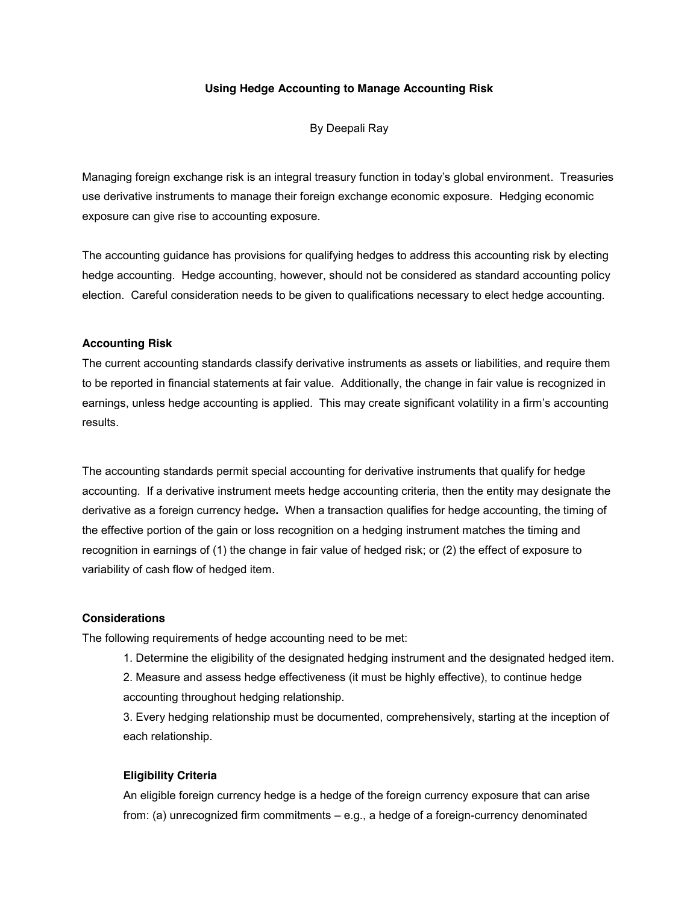## **Using Hedge Accounting to Manage Accounting Risk**

By Deepali Ray

Managing foreign exchange risk is an integral treasury function in today's global environment. Treasuries use derivative instruments to manage their foreign exchange economic exposure. Hedging economic exposure can give rise to accounting exposure.

The accounting guidance has provisions for qualifying hedges to address this accounting risk by electing hedge accounting. Hedge accounting, however, should not be considered as standard accounting policy election. Careful consideration needs to be given to qualifications necessary to elect hedge accounting.

#### **Accounting Risk**

The current accounting standards classify derivative instruments as assets or liabilities, and require them to be reported in financial statements at fair value. Additionally, the change in fair value is recognized in earnings, unless hedge accounting is applied. This may create significant volatility in a firm's accounting results.

The accounting standards permit special accounting for derivative instruments that qualify for hedge accounting. If a derivative instrument meets hedge accounting criteria, then the entity may designate the derivative as a foreign currency hedge**.** When a transaction qualifies for hedge accounting, the timing of the effective portion of the gain or loss recognition on a hedging instrument matches the timing and recognition in earnings of (1) the change in fair value of hedged risk; or (2) the effect of exposure to variability of cash flow of hedged item.

### **Considerations**

The following requirements of hedge accounting need to be met:

1. Determine the eligibility of the designated hedging instrument and the designated hedged item.

2. Measure and assess hedge effectiveness (it must be highly effective), to continue hedge accounting throughout hedging relationship.

3. Every hedging relationship must be documented, comprehensively, starting at the inception of each relationship.

#### **Eligibility Criteria**

An eligible foreign currency hedge is a hedge of the foreign currency exposure that can arise from: (a) unrecognized firm commitments – e.g., a hedge of a foreign-currency denominated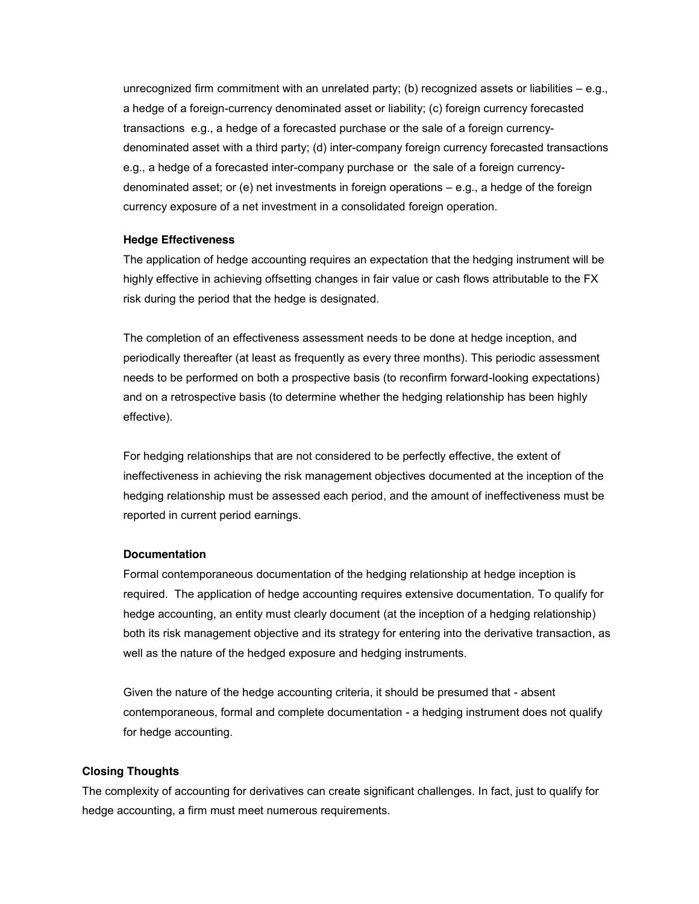unrecognized firm commitment with an unrelated party; (b) recognized assets or liabilities  $-e.g.,$ a hedge of a foreign-currency denominated asset or liability; (c) foreign currency forecasted transactions e.g., a hedge of a forecasted purchase or the sale of a foreign currencydenominated asset with a third party; (d) inter-company foreign currency forecasted transactions e.g., a hedge of a forecasted inter-company purchase or the sale of a foreign currencydenominated asset; or (e) net investments in foreign operations – e.g., a hedge of the foreign currency exposure of a net investment in a consolidated foreign operation.

## **Hedge Effectiveness**

The application of hedge accounting requires an expectation that the hedging instrument will be highly effective in achieving offsetting changes in fair value or cash flows attributable to the FX risk during the period that the hedge is designated.

The completion of an effectiveness assessment needs to be done at hedge inception, and periodically thereafter (at least as frequently as every three months). This periodic assessment needs to be performed on both a prospective basis (to reconfirm forward-looking expectations) and on a retrospective basis (to determine whether the hedging relationship has been highly effective).

For hedging relationships that are not considered to be perfectly effective, the extent of ineffectiveness in achieving the risk management objectives documented at the inception of the hedging relationship must be assessed each period, and the amount of ineffectiveness must be reported in current period earnings.

### **Documentation**

Formal contemporaneous documentation of the hedging relationship at hedge inception is required. The application of hedge accounting requires extensive documentation. To qualify for hedge accounting, an entity must clearly document (at the inception of a hedging relationship) both its risk management objective and its strategy for entering into the derivative transaction, as well as the nature of the hedged exposure and hedging instruments.

Given the nature of the hedge accounting criteria, it should be presumed that - absent contemporaneous, formal and complete documentation - a hedging instrument does not qualify for hedge accounting.

# **Closing Thoughts**

The complexity of accounting for derivatives can create significant challenges. In fact, just to qualify for hedge accounting, a firm must meet numerous requirements.